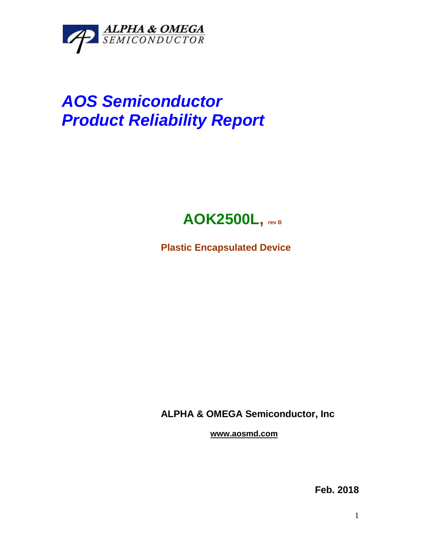

## *AOS Semiconductor Product Reliability Report*



**Plastic Encapsulated Device**

**ALPHA & OMEGA Semiconductor, Inc**

**www.aosmd.com**

**Feb. 2018**